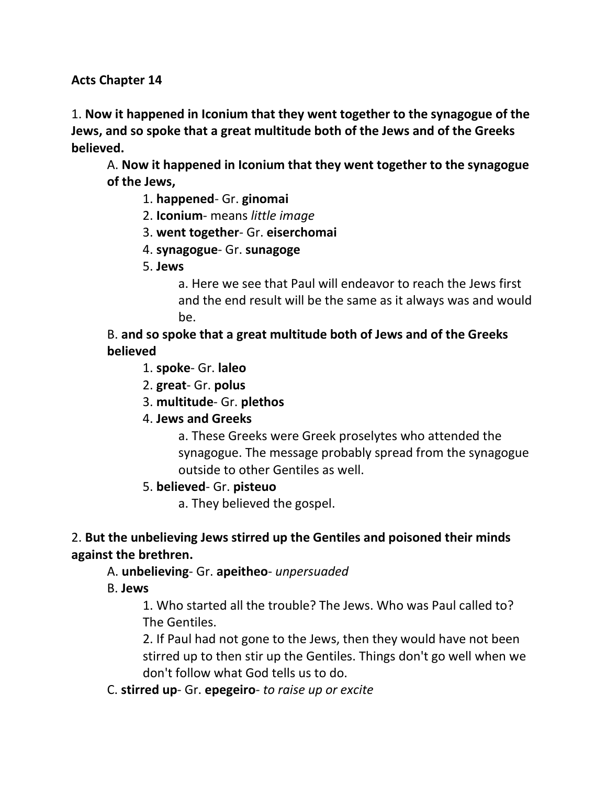**Acts Chapter 14**

1. **Now it happened in Iconium that they went together to the synagogue of the Jews, and so spoke that a great multitude both of the Jews and of the Greeks believed.**

A. **Now it happened in Iconium that they went together to the synagogue of the Jews,**

- 1. **happened** Gr. **ginomai**
- 2. **Iconium** means *little image*
- 3. **went together** Gr. **eiserchomai**
- 4. **synagogue** Gr. **sunagoge**
- 5. **Jews**

a. Here we see that Paul will endeavor to reach the Jews first and the end result will be the same as it always was and would be.

B. **and so spoke that a great multitude both of Jews and of the Greeks believed**

- 1. **spoke** Gr. **laleo**
- 2. **great** Gr. **polus**
- 3. **multitude** Gr. **plethos**
- 4. **Jews and Greeks**

a. These Greeks were Greek proselytes who attended the synagogue. The message probably spread from the synagogue outside to other Gentiles as well.

5. **believed**- Gr. **pisteuo**

a. They believed the gospel.

## 2. **But the unbelieving Jews stirred up the Gentiles and poisoned their minds against the brethren.**

## A. **unbelieving**- Gr. **apeitheo**- *unpersuaded*

B. **Jews**

1. Who started all the trouble? The Jews. Who was Paul called to? The Gentiles.

2. If Paul had not gone to the Jews, then they would have not been stirred up to then stir up the Gentiles. Things don't go well when we don't follow what God tells us to do.

## C. **stirred up**- Gr. **epegeiro**- *to raise up or excite*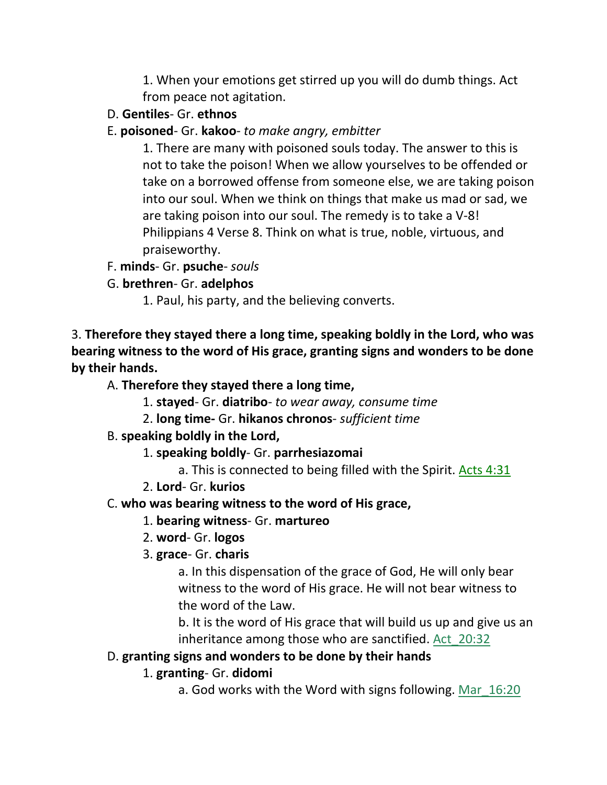1. When your emotions get stirred up you will do dumb things. Act from peace not agitation.

- D. **Gentiles** Gr. **ethnos**
- E. **poisoned** Gr. **kakoo** *to make angry, embitter*

1. There are many with poisoned souls today. The answer to this is not to take the poison! When we allow yourselves to be offended or take on a borrowed offense from someone else, we are taking poison into our soul. When we think on things that make us mad or sad, we are taking poison into our soul. The remedy is to take a V-8! Philippians 4 Verse 8. Think on what is true, noble, virtuous, and praiseworthy.

- F. **minds** Gr. **psuche** *souls*
- G. **brethren** Gr. **adelphos**

1. Paul, his party, and the believing converts.

3. **Therefore they stayed there a long time, speaking boldly in the Lord, who was bearing witness to the word of His grace, granting signs and wonders to be done by their hands.**

# A. **Therefore they stayed there a long time,**

- 1. **stayed** Gr. **diatribo** *to wear away, consume time*
- 2. **long time-** Gr. **hikanos chronos** *sufficient time*

## B. **speaking boldly in the Lord,**

- 1. **speaking boldly** Gr. **parrhesiazomai**
	- a. This is connected to being filled with the Spirit. Acts 4:31
- 2. **Lord** Gr. **kurios**

# C. **who was bearing witness to the word of His grace,**

- 1. **bearing witness** Gr. **martureo**
- 2. **word** Gr. **logos**
- 3. **grace** Gr. **charis**

a. In this dispensation of the grace of God, He will only bear witness to the word of His grace. He will not bear witness to the word of the Law.

b. It is the word of His grace that will build us up and give us an inheritance among those who are sanctified. Act\_20:32

## D. **granting signs and wonders to be done by their hands**

1. **granting**- Gr. **didomi**

a. God works with the Word with signs following. Mar\_16:20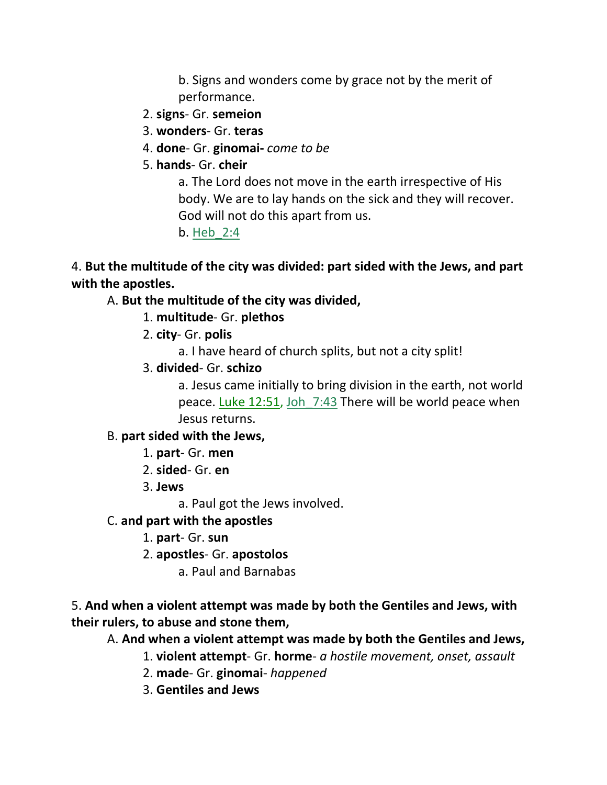b. Signs and wonders come by grace not by the merit of performance.

- 2. **signs** Gr. **semeion**
- 3. **wonders** Gr. **teras**
- 4. **done** Gr. **ginomai-** *come to be*
- 5. **hands** Gr. **cheir**

a. The Lord does not move in the earth irrespective of His body. We are to lay hands on the sick and they will recover. God will not do this apart from us.

b. Heb\_2:4

4. **But the multitude of the city was divided: part sided with the Jews, and part with the apostles.** 

#### A. **But the multitude of the city was divided,**

- 1. **multitude** Gr. **plethos**
- 2. **city** Gr. **polis**
	- a. I have heard of church splits, but not a city split!
- 3. **divided** Gr. **schizo**

a. Jesus came initially to bring division in the earth, not world peace. Luke 12:51, Joh 7:43 There will be world peace when Jesus returns.

#### B. **part sided with the Jews,**

- 1. **part** Gr. **men**
- 2. **sided** Gr. **en**
- 3. **Jews**

a. Paul got the Jews involved.

- C. **and part with the apostles**
	- 1. **part** Gr. **sun**
	- 2. **apostles** Gr. **apostolos**
		- a. Paul and Barnabas

#### 5. **And when a violent attempt was made by both the Gentiles and Jews, with their rulers, to abuse and stone them,**

A. **And when a violent attempt was made by both the Gentiles and Jews,**

- 1. **violent attempt** Gr. **horme** *a hostile movement, onset, assault*
- 2. **made** Gr. **ginomai** *happened*
- 3. **Gentiles and Jews**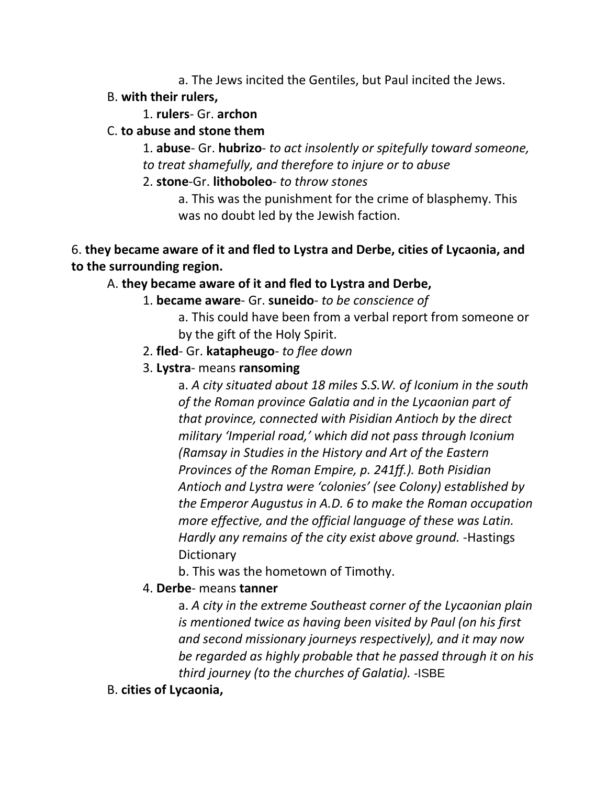a. The Jews incited the Gentiles, but Paul incited the Jews.

## B. **with their rulers,**

#### 1. **rulers**- Gr. **archon**

#### C. **to abuse and stone them**

1. **abuse**- Gr. **hubrizo**- *to act insolently or spitefully toward someone, to treat shamefully, and therefore to injure or to abuse*

2. **stone**-Gr. **lithoboleo**- *to throw stones*

a. This was the punishment for the crime of blasphemy. This was no doubt led by the Jewish faction.

#### 6. **they became aware of it and fled to Lystra and Derbe, cities of Lycaonia, and to the surrounding region.**

# A. **they became aware of it and fled to Lystra and Derbe,**

- 1. **became aware** Gr. **suneido** *to be conscience of* 
	- a. This could have been from a verbal report from someone or by the gift of the Holy Spirit.
- 2. **fled** Gr. **katapheugo** *to flee down*
- 3. **Lystra** means **ransoming**

a. *A city situated about 18 miles S.S.W. of Iconium in the south of the Roman province Galatia and in the Lycaonian part of that province, connected with Pisidian Antioch by the direct military 'Imperial road,' which did not pass through Iconium (Ramsay in Studies in the History and Art of the Eastern Provinces of the Roman Empire, p. 241ff.). Both Pisidian Antioch and Lystra were 'colonies' (see Colony) established by the Emperor Augustus in A.D. 6 to make the Roman occupation more effective, and the official language of these was Latin. Hardly any remains of the city exist above ground.* -Hastings **Dictionary** 

b. This was the hometown of Timothy.

## 4. **Derbe**- means **tanner**

a. *A city in the extreme Southeast corner of the Lycaonian plain is mentioned twice as having been visited by Paul (on his first and second missionary journeys respectively), and it may now be regarded as highly probable that he passed through it on his third journey (to the churches of Galatia).* -ISBE

B. **cities of Lycaonia,**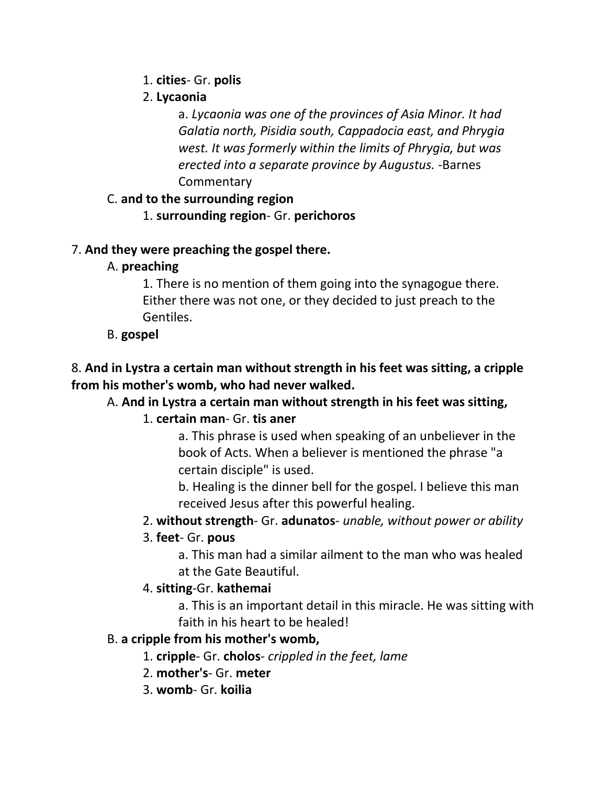#### 1. **cities**- Gr. **polis**

#### 2. **Lycaonia**

a. *Lycaonia was one of the provinces of Asia Minor. It had Galatia north, Pisidia south, Cappadocia east, and Phrygia west. It was formerly within the limits of Phrygia, but was erected into a separate province by Augustus.* -Barnes **Commentary** 

#### C. **and to the surrounding region**

1. **surrounding region**- Gr. **perichoros**

#### 7. **And they were preaching the gospel there.**

## A. **preaching**

1. There is no mention of them going into the synagogue there. Either there was not one, or they decided to just preach to the Gentiles.

## B. **gospel**

# 8. **And in Lystra a certain man without strength in his feet was sitting, a cripple from his mother's womb, who had never walked.**

# A. **And in Lystra a certain man without strength in his feet was sitting,**

# 1. **certain man**- Gr. **tis aner**

a. This phrase is used when speaking of an unbeliever in the book of Acts. When a believer is mentioned the phrase "a certain disciple" is used.

b. Healing is the dinner bell for the gospel. I believe this man received Jesus after this powerful healing.

## 2. **without strength**- Gr. **adunatos**- *unable, without power or ability*

## 3. **feet**- Gr. **pous**

a. This man had a similar ailment to the man who was healed at the Gate Beautiful.

## 4. **sitting**-Gr. **kathemai**

a. This is an important detail in this miracle. He was sitting with faith in his heart to be healed!

## B. **a cripple from his mother's womb,**

- 1. **cripple** Gr. **cholos** *crippled in the feet, lame*
- 2. **mother's** Gr. **meter**
- 3. **womb** Gr. **koilia**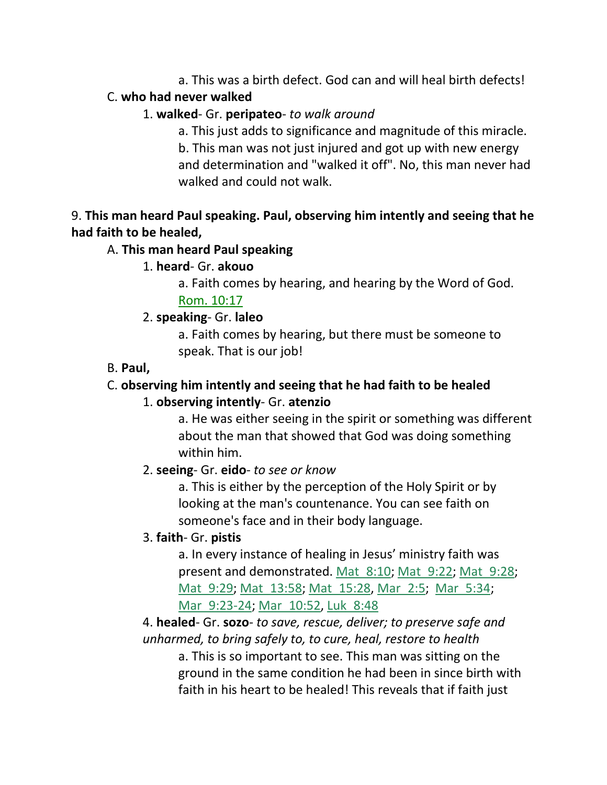a. This was a birth defect. God can and will heal birth defects!

#### C. **who had never walked**

## 1. **walked**- Gr. **peripateo**- *to walk around*

a. This just adds to significance and magnitude of this miracle. b. This man was not just injured and got up with new energy and determination and "walked it off". No, this man never had walked and could not walk.

# 9. **This man heard Paul speaking. Paul, observing him intently and seeing that he had faith to be healed,**

# A. **This man heard Paul speaking**

# 1. **heard**- Gr. **akouo**

a. Faith comes by hearing, and hearing by the Word of God. Rom. 10:17

# 2. **speaking**- Gr. **laleo**

a. Faith comes by hearing, but there must be someone to speak. That is our job!

# B. **Paul,**

# C. **observing him intently and seeing that he had faith to be healed**

# 1. **observing intently**- Gr. **atenzio**

a. He was either seeing in the spirit or something was different about the man that showed that God was doing something within him.

# 2. **seeing**- Gr. **eido**- *to see or know*

a. This is either by the perception of the Holy Spirit or by looking at the man's countenance. You can see faith on someone's face and in their body language.

# 3. **faith**- Gr. **pistis**

a. In every instance of healing in Jesus' ministry faith was present and demonstrated. Mat 8:10; Mat 9:22; Mat 9:28; Mat 9:29; Mat 13:58; Mat 15:28, Mar 2:5; Mar 5:34; Mar 9:23-24; Mar 10:52, Luk 8:48

4. **healed**- Gr. **sozo**- *to save, rescue, deliver; to preserve safe and unharmed, to bring safely to, to cure, heal, restore to health*

a. This is so important to see. This man was sitting on the ground in the same condition he had been in since birth with faith in his heart to be healed! This reveals that if faith just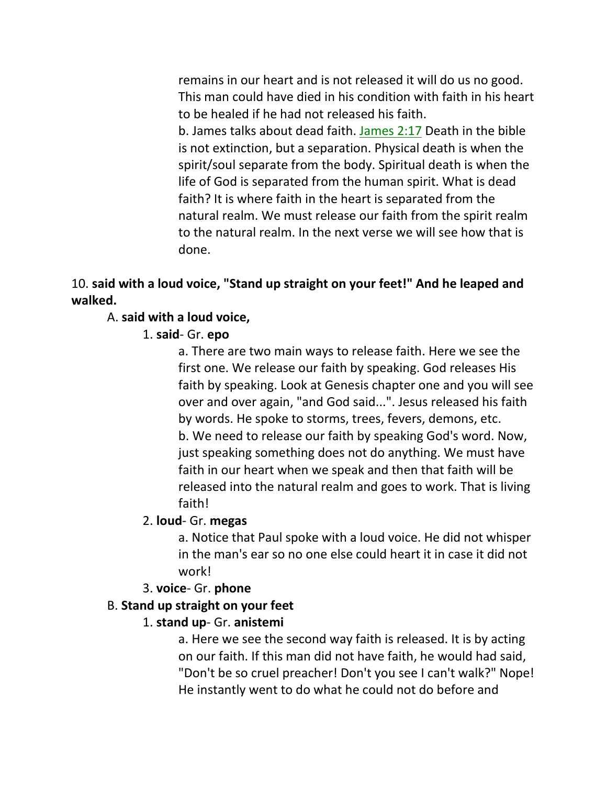remains in our heart and is not released it will do us no good. This man could have died in his condition with faith in his heart to be healed if he had not released his faith. b. James talks about dead faith. James 2:17 Death in the bible is not extinction, but a separation. Physical death is when the spirit/soul separate from the body. Spiritual death is when the life of God is separated from the human spirit. What is dead faith? It is where faith in the heart is separated from the natural realm. We must release our faith from the spirit realm to the natural realm. In the next verse we will see how that is done.

## 10. **said with a loud voice, "Stand up straight on your feet!" And he leaped and walked.**

#### A. **said with a loud voice,**

#### 1. **said**- Gr. **epo**

a. There are two main ways to release faith. Here we see the first one. We release our faith by speaking. God releases His faith by speaking. Look at Genesis chapter one and you will see over and over again, "and God said...". Jesus released his faith by words. He spoke to storms, trees, fevers, demons, etc. b. We need to release our faith by speaking God's word. Now, just speaking something does not do anything. We must have faith in our heart when we speak and then that faith will be released into the natural realm and goes to work. That is living faith!

#### 2. **loud**- Gr. **megas**

a. Notice that Paul spoke with a loud voice. He did not whisper in the man's ear so no one else could heart it in case it did not work!

## 3. **voice**- Gr. **phone**

## B. **Stand up straight on your feet**

## 1. **stand up**- Gr. **anistemi**

a. Here we see the second way faith is released. It is by acting on our faith. If this man did not have faith, he would had said, "Don't be so cruel preacher! Don't you see I can't walk?" Nope! He instantly went to do what he could not do before and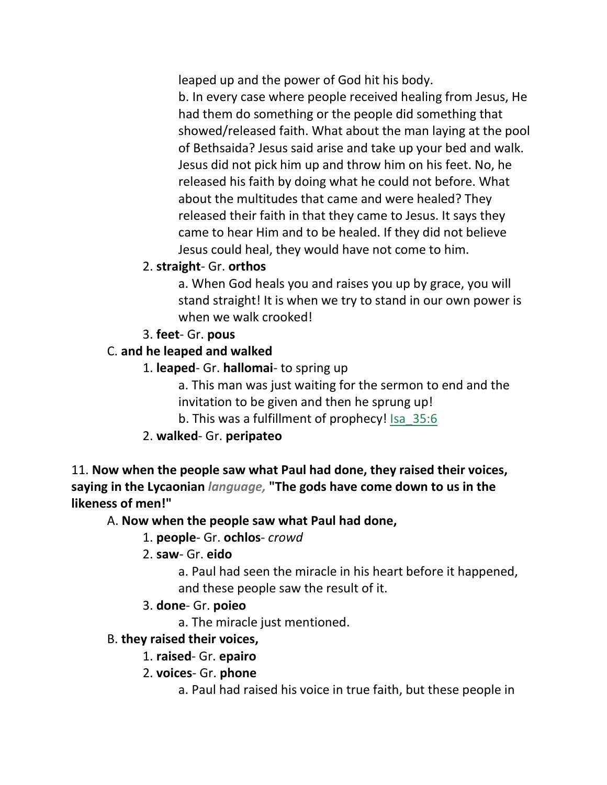leaped up and the power of God hit his body.

b. In every case where people received healing from Jesus, He had them do something or the people did something that showed/released faith. What about the man laying at the pool of Bethsaida? Jesus said arise and take up your bed and walk. Jesus did not pick him up and throw him on his feet. No, he released his faith by doing what he could not before. What about the multitudes that came and were healed? They released their faith in that they came to Jesus. It says they came to hear Him and to be healed. If they did not believe Jesus could heal, they would have not come to him.

#### 2. **straight**- Gr. **orthos**

a. When God heals you and raises you up by grace, you will stand straight! It is when we try to stand in our own power is when we walk crooked!

## 3. **feet**- Gr. **pous**

## C. **and he leaped and walked**

1. **leaped**- Gr. **hallomai**- to spring up

a. This man was just waiting for the sermon to end and the invitation to be given and then he sprung up!

b. This was a fulfillment of prophecy! Isa\_35:6

## 2. **walked**- Gr. **peripateo**

11. **Now when the people saw what Paul had done, they raised their voices, saying in the Lycaonian** *language,* **"The gods have come down to us in the likeness of men!"** 

## A. **Now when the people saw what Paul had done,**

## 1. **people**- Gr. **ochlos**- *crowd*

- 2. **saw** Gr. **eido**
	- a. Paul had seen the miracle in his heart before it happened, and these people saw the result of it.
- 3. **done** Gr. **poieo**
	- a. The miracle just mentioned.

#### B. **they raised their voices,**

- 1. **raised** Gr. **epairo**
- 2. **voices** Gr. **phone**
	- a. Paul had raised his voice in true faith, but these people in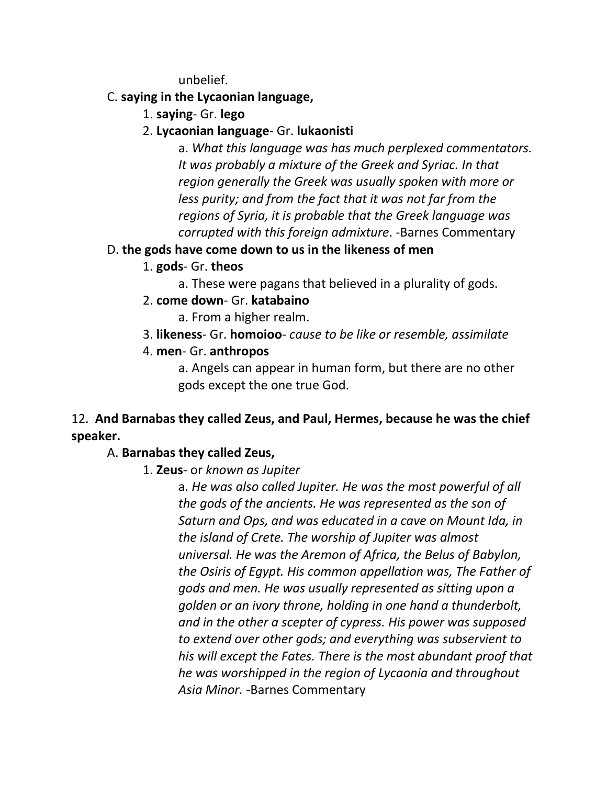unbelief.

#### C. **saying in the Lycaonian language,**

1. **saying**- Gr. **lego**

# 2. **Lycaonian language**- Gr. **lukaonisti**

a. *What this language was has much perplexed commentators. It was probably a mixture of the Greek and Syriac. In that region generally the Greek was usually spoken with more or less purity; and from the fact that it was not far from the regions of Syria, it is probable that the Greek language was corrupted with this foreign admixture*. -Barnes Commentary

## D. **the gods have come down to us in the likeness of men**

## 1. **gods**- Gr. **theos**

- a. These were pagans that believed in a plurality of gods.
- 2. **come down** Gr. **katabaino**

a. From a higher realm.

3. **likeness**- Gr. **homoioo**- *cause to be like or resemble, assimilate*

#### 4. **men**- Gr. **anthropos**

a. Angels can appear in human form, but there are no other gods except the one true God.

# 12. **And Barnabas they called Zeus, and Paul, Hermes, because he was the chief speaker.**

## A. **Barnabas they called Zeus,**

## 1. **Zeus**- or *known as Jupiter*

a. *He was also called Jupiter. He was the most powerful of all the gods of the ancients. He was represented as the son of Saturn and Ops, and was educated in a cave on Mount Ida, in the island of Crete. The worship of Jupiter was almost universal. He was the Aremon of Africa, the Belus of Babylon, the Osiris of Egypt. His common appellation was, The Father of gods and men. He was usually represented as sitting upon a golden or an ivory throne, holding in one hand a thunderbolt, and in the other a scepter of cypress. His power was supposed to extend over other gods; and everything was subservient to his will except the Fates. There is the most abundant proof that he was worshipped in the region of Lycaonia and throughout Asia Minor.* -Barnes Commentary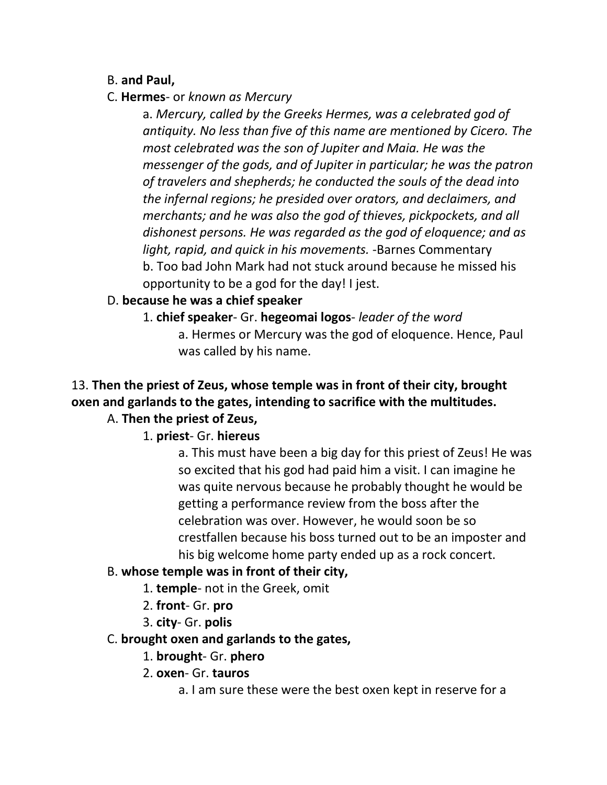#### B. **and Paul,**

#### C. **Hermes**- or *known as Mercury*

a. *Mercury, called by the Greeks Hermes, was a celebrated god of antiquity. No less than five of this name are mentioned by Cicero. The most celebrated was the son of Jupiter and Maia. He was the messenger of the gods, and of Jupiter in particular; he was the patron of travelers and shepherds; he conducted the souls of the dead into the infernal regions; he presided over orators, and declaimers, and merchants; and he was also the god of thieves, pickpockets, and all dishonest persons. He was regarded as the god of eloquence; and as light, rapid, and quick in his movements.* -Barnes Commentary b. Too bad John Mark had not stuck around because he missed his opportunity to be a god for the day! I jest.

#### D. **because he was a chief speaker**

1. **chief speaker**- Gr. **hegeomai logos**- *leader of the word* a. Hermes or Mercury was the god of eloquence. Hence, Paul was called by his name.

# 13. **Then the priest of Zeus, whose temple was in front of their city, brought oxen and garlands to the gates, intending to sacrifice with the multitudes.**

# A. **Then the priest of Zeus,**

## 1. **priest**- Gr. **hiereus**

a. This must have been a big day for this priest of Zeus! He was so excited that his god had paid him a visit. I can imagine he was quite nervous because he probably thought he would be getting a performance review from the boss after the celebration was over. However, he would soon be so crestfallen because his boss turned out to be an imposter and his big welcome home party ended up as a rock concert.

#### B. **whose temple was in front of their city,**

- 1. **temple** not in the Greek, omit
- 2. **front** Gr. **pro**
- 3. **city** Gr. **polis**

#### C. **brought oxen and garlands to the gates,**

- 1. **brought** Gr. **phero**
- 2. **oxen** Gr. **tauros**
	- a. I am sure these were the best oxen kept in reserve for a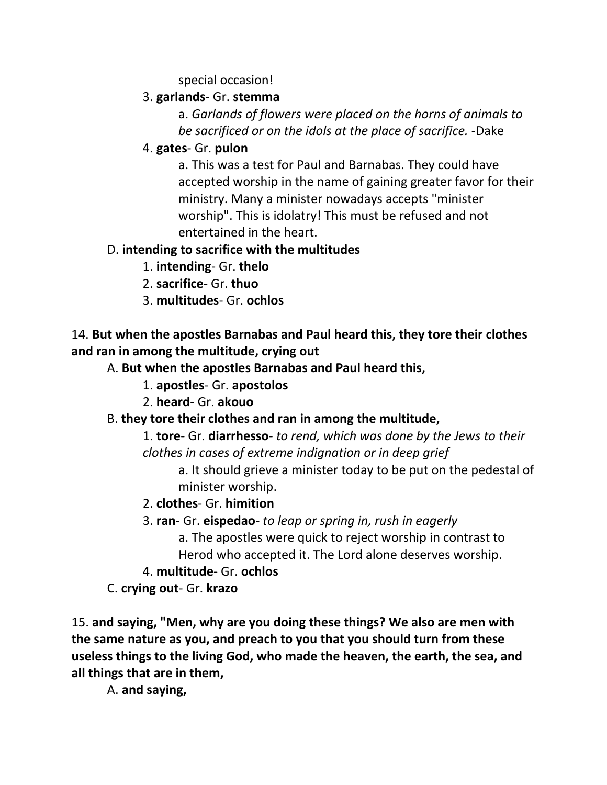special occasion!

#### 3. **garlands**- Gr. **stemma**

a. *Garlands of flowers were placed on the horns of animals to be sacrificed or on the idols at the place of sacrifice.* -Dake

4. **gates**- Gr. **pulon**

a. This was a test for Paul and Barnabas. They could have accepted worship in the name of gaining greater favor for their ministry. Many a minister nowadays accepts "minister worship". This is idolatry! This must be refused and not entertained in the heart.

## D. **intending to sacrifice with the multitudes**

- 1. **intending** Gr. **thelo**
- 2. **sacrifice** Gr. **thuo**
- 3. **multitudes** Gr. **ochlos**

14. **But when the apostles Barnabas and Paul heard this, they tore their clothes and ran in among the multitude, crying out** 

- A. **But when the apostles Barnabas and Paul heard this,**
	- 1. **apostles** Gr. **apostolos**
	- 2. **heard** Gr. **akouo**

## B. **they tore their clothes and ran in among the multitude,**

1. **tore**- Gr. **diarrhesso**- *to rend, which was done by the Jews to their clothes in cases of extreme indignation or in deep grief*

a. It should grieve a minister today to be put on the pedestal of minister worship.

- 2. **clothes** Gr. **himition**
- 3. **ran** Gr. **eispedao** *to leap or spring in, rush in eagerly*

a. The apostles were quick to reject worship in contrast to

Herod who accepted it. The Lord alone deserves worship.

4. **multitude**- Gr. **ochlos**

C. **crying out**- Gr. **krazo**

15. **and saying, "Men, why are you doing these things? We also are men with the same nature as you, and preach to you that you should turn from these useless things to the living God, who made the heaven, the earth, the sea, and all things that are in them,** 

A. **and saying,**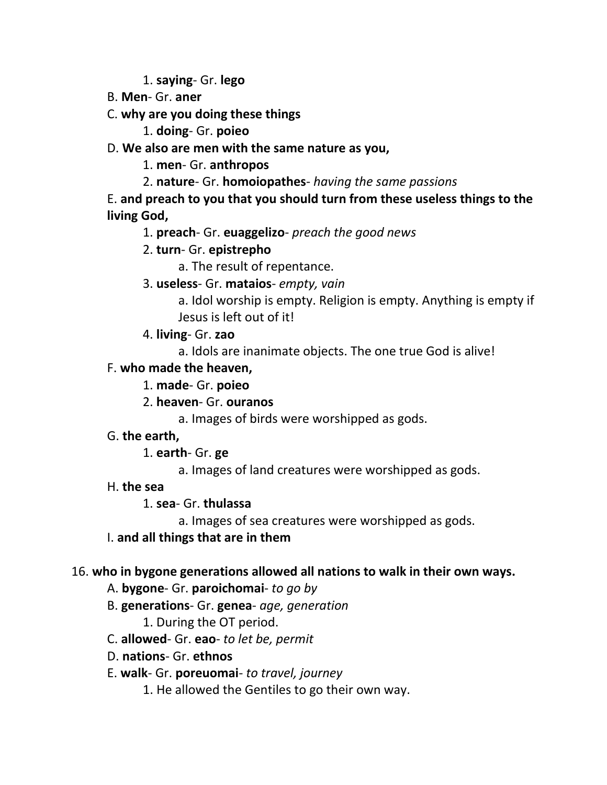1. **saying**- Gr. **lego**

B. **Men**- Gr. **aner**

C. **why are you doing these things**

1. **doing**- Gr. **poieo**

D. **We also are men with the same nature as you,**

1. **men**- Gr. **anthropos**

2. **nature**- Gr. **homoiopathes**- *having the same passions*

E. **and preach to you that you should turn from these useless things to the living God,**

1. **preach**- Gr. **euaggelizo**- *preach the good news*

# 2. **turn**- Gr. **epistrepho**

a. The result of repentance.

3. **useless**- Gr. **mataios**- *empty, vain*

a. Idol worship is empty. Religion is empty. Anything is empty if Jesus is left out of it!

4. **living**- Gr. **zao**

a. Idols are inanimate objects. The one true God is alive!

#### F. **who made the heaven,**

## 1. **made**- Gr. **poieo**

2. **heaven**- Gr. **ouranos**

a. Images of birds were worshipped as gods.

G. **the earth,**

1. **earth**- Gr. **ge**

a. Images of land creatures were worshipped as gods.

H. **the sea**

## 1. **sea**- Gr. **thulassa**

a. Images of sea creatures were worshipped as gods.

I. **and all things that are in them**

## 16. **who in bygone generations allowed all nations to walk in their own ways.**

- A. **bygone** Gr. **paroichomai** *to go by*
- B. **generations** Gr. **genea** *age, generation*

1. During the OT period.

- C. **allowed** Gr. **eao** *to let be, permit*
- D. **nations** Gr. **ethnos**
- E. **walk** Gr. **poreuomai** *to travel, journey*
	- 1. He allowed the Gentiles to go their own way.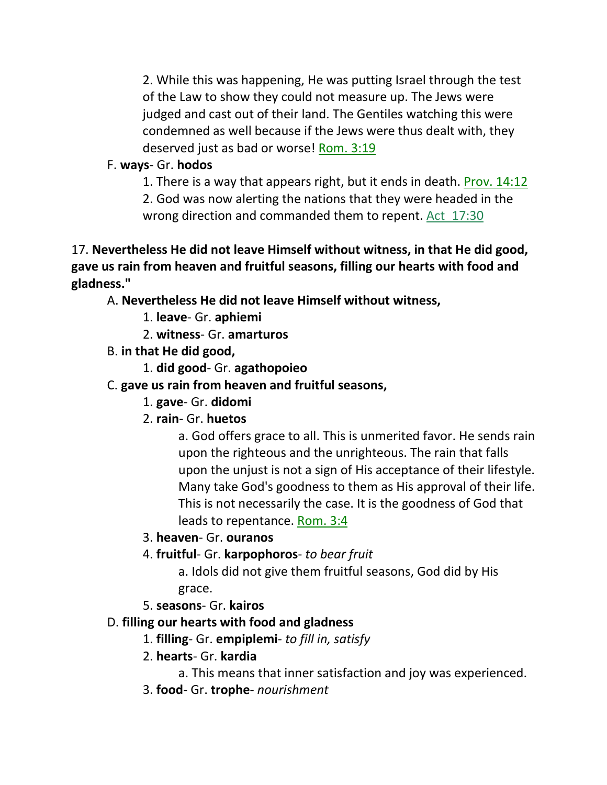2. While this was happening, He was putting Israel through the test of the Law to show they could not measure up. The Jews were judged and cast out of their land. The Gentiles watching this were condemned as well because if the Jews were thus dealt with, they deserved just as bad or worse! Rom. 3:19

# F. **ways**- Gr. **hodos**

1. There is a way that appears right, but it ends in death. Prov. 14:12

2. God was now alerting the nations that they were headed in the wrong direction and commanded them to repent. Act 17:30

17. **Nevertheless He did not leave Himself without witness, in that He did good, gave us rain from heaven and fruitful seasons, filling our hearts with food and gladness."** 

A. **Nevertheless He did not leave Himself without witness,**

- 1. **leave** Gr. **aphiemi**
- 2. **witness** Gr. **amarturos**
- B. **in that He did good,**
	- 1. **did good** Gr. **agathopoieo**
- C. **gave us rain from heaven and fruitful seasons,**
	- 1. **gave** Gr. **didomi**
	- 2. **rain** Gr. **huetos**

a. God offers grace to all. This is unmerited favor. He sends rain upon the righteous and the unrighteous. The rain that falls upon the unjust is not a sign of His acceptance of their lifestyle. Many take God's goodness to them as His approval of their life. This is not necessarily the case. It is the goodness of God that leads to repentance. Rom. 3:4

3. **heaven**- Gr. **ouranos**

4. **fruitful**- Gr. **karpophoros**- *to bear fruit*

a. Idols did not give them fruitful seasons, God did by His grace.

5. **seasons**- Gr. **kairos**

## D. **filling our hearts with food and gladness**

- 1. **filling** Gr. **empiplemi** *to fill in, satisfy*
- 2. **hearts** Gr. **kardia**

a. This means that inner satisfaction and joy was experienced.

3. **food**- Gr. **trophe**- *nourishment*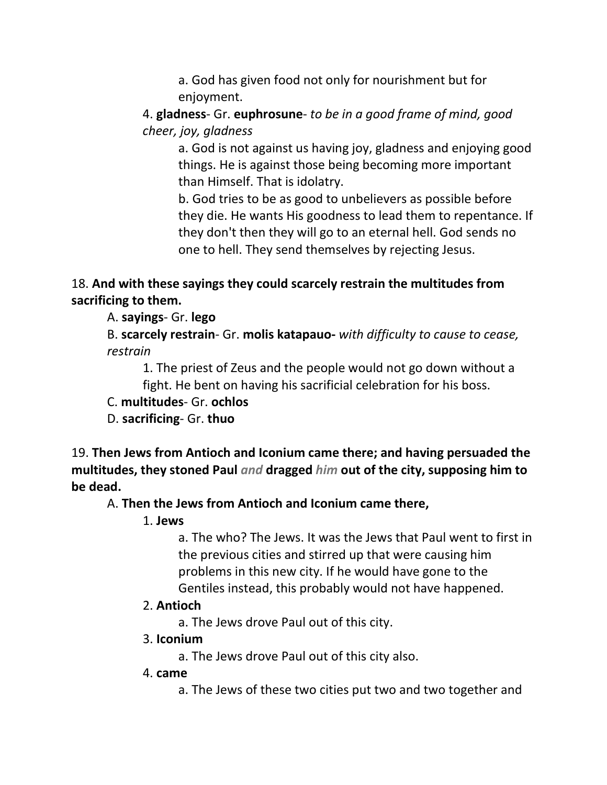a. God has given food not only for nourishment but for enjoyment.

4. **gladness**- Gr. **euphrosune**- *to be in a good frame of mind, good cheer, joy, gladness*

a. God is not against us having joy, gladness and enjoying good things. He is against those being becoming more important than Himself. That is idolatry.

b. God tries to be as good to unbelievers as possible before they die. He wants His goodness to lead them to repentance. If they don't then they will go to an eternal hell. God sends no one to hell. They send themselves by rejecting Jesus.

## 18. **And with these sayings they could scarcely restrain the multitudes from sacrificing to them.**

A. **sayings**- Gr. **lego**

B. **scarcely restrain**- Gr. **molis katapauo-** *with difficulty to cause to cease, restrain*

1. The priest of Zeus and the people would not go down without a fight. He bent on having his sacrificial celebration for his boss.

C. **multitudes**- Gr. **ochlos**

D. **sacrificing**- Gr. **thuo**

19. **Then Jews from Antioch and Iconium came there; and having persuaded the multitudes, they stoned Paul** *and* **dragged** *him* **out of the city, supposing him to be dead.** 

## A. **Then the Jews from Antioch and Iconium came there,**

1. **Jews**

a. The who? The Jews. It was the Jews that Paul went to first in the previous cities and stirred up that were causing him problems in this new city. If he would have gone to the Gentiles instead, this probably would not have happened.

#### 2. **Antioch**

a. The Jews drove Paul out of this city.

#### 3. **Iconium**

a. The Jews drove Paul out of this city also.

#### 4. **came**

a. The Jews of these two cities put two and two together and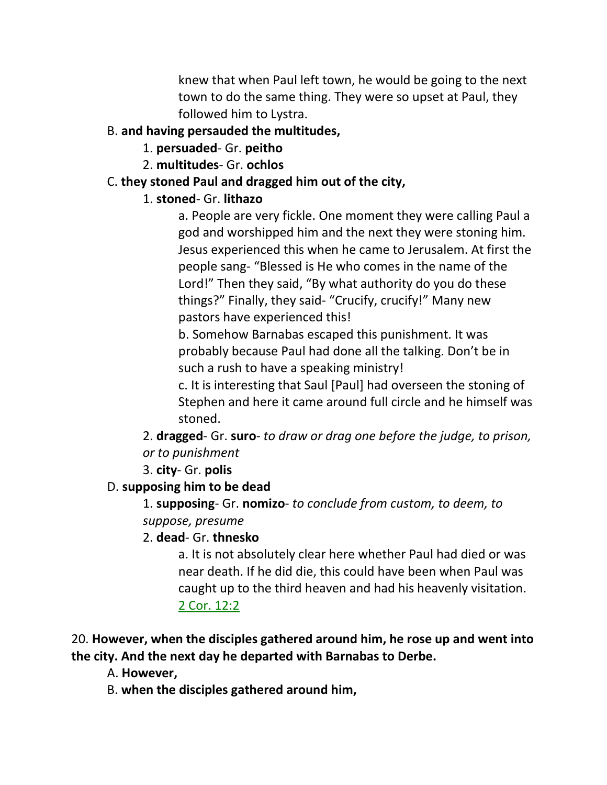knew that when Paul left town, he would be going to the next town to do the same thing. They were so upset at Paul, they followed him to Lystra.

## B. **and having persauded the multitudes,**

## 1. **persuaded**- Gr. **peitho**

2. **multitudes**- Gr. **ochlos**

# C. **they stoned Paul and dragged him out of the city,**

# 1. **stoned**- Gr. **lithazo**

a. People are very fickle. One moment they were calling Paul a god and worshipped him and the next they were stoning him. Jesus experienced this when he came to Jerusalem. At first the people sang- "Blessed is He who comes in the name of the Lord!" Then they said, "By what authority do you do these things?" Finally, they said- "Crucify, crucify!" Many new pastors have experienced this!

b. Somehow Barnabas escaped this punishment. It was probably because Paul had done all the talking. Don't be in such a rush to have a speaking ministry!

c. It is interesting that Saul [Paul] had overseen the stoning of Stephen and here it came around full circle and he himself was stoned.

2. **dragged**- Gr. **suro**- *to draw or drag one before the judge, to prison, or to punishment*

3. **city**- Gr. **polis**

# D. **supposing him to be dead**

1. **supposing**- Gr. **nomizo**- *to conclude from custom, to deem, to suppose, presume*

2. **dead**- Gr. **thnesko**

a. It is not absolutely clear here whether Paul had died or was near death. If he did die, this could have been when Paul was caught up to the third heaven and had his heavenly visitation. 2 Cor. 12:2

20. **However, when the disciples gathered around him, he rose up and went into the city. And the next day he departed with Barnabas to Derbe.** 

A. **However,**

B. **when the disciples gathered around him,**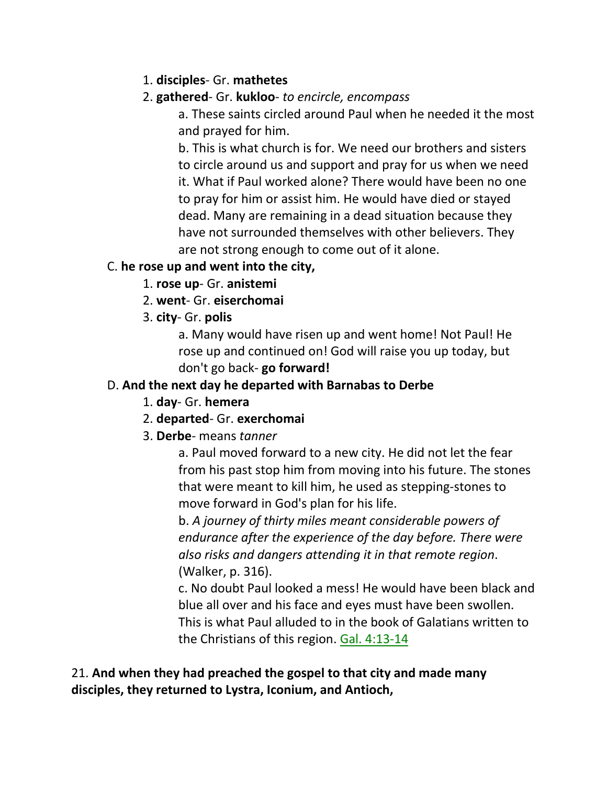1. **disciples**- Gr. **mathetes**

# 2. **gathered**- Gr. **kukloo**- *to encircle, encompass*

a. These saints circled around Paul when he needed it the most and prayed for him.

b. This is what church is for. We need our brothers and sisters to circle around us and support and pray for us when we need it. What if Paul worked alone? There would have been no one to pray for him or assist him. He would have died or stayed dead. Many are remaining in a dead situation because they have not surrounded themselves with other believers. They are not strong enough to come out of it alone.

# C. **he rose up and went into the city,**

- 1. **rose up** Gr. **anistemi**
- 2. **went** Gr. **eiserchomai**
- 3. **city** Gr. **polis**

a. Many would have risen up and went home! Not Paul! He rose up and continued on! God will raise you up today, but don't go back- **go forward!**

# D. **And the next day he departed with Barnabas to Derbe**

- 1. **day** Gr. **hemera**
- 2. **departed** Gr. **exerchomai**
- 3. **Derbe** means *tanner*

a. Paul moved forward to a new city. He did not let the fear from his past stop him from moving into his future. The stones that were meant to kill him, he used as stepping-stones to move forward in God's plan for his life.

b. *A journey of thirty miles meant considerable powers of endurance after the experience of the day before. There were also risks and dangers attending it in that remote region*. (Walker, p. 316).

c. No doubt Paul looked a mess! He would have been black and blue all over and his face and eyes must have been swollen. This is what Paul alluded to in the book of Galatians written to the Christians of this region. Gal. 4:13-14

21. **And when they had preached the gospel to that city and made many disciples, they returned to Lystra, Iconium, and Antioch,**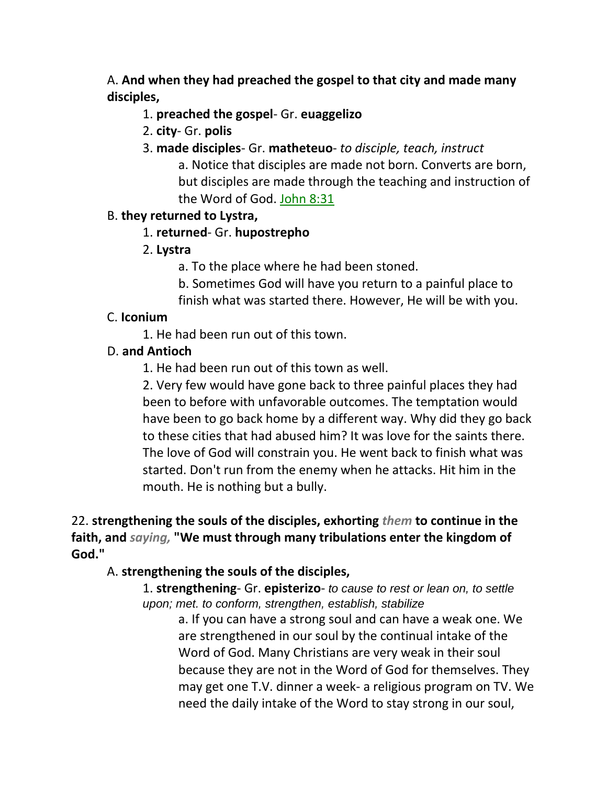A. **And when they had preached the gospel to that city and made many disciples,**

#### 1. **preached the gospel**- Gr. **euaggelizo**

- 2. **city** Gr. **polis**
- 3. **made disciples** Gr. **matheteuo** *to disciple, teach, instruct* a. Notice that disciples are made not born. Converts are born, but disciples are made through the teaching and instruction of the Word of God. John 8:31

#### B. **they returned to Lystra,**

#### 1. **returned**- Gr. **hupostrepho**

- 2. **Lystra**
	- a. To the place where he had been stoned.
	- b. Sometimes God will have you return to a painful place to finish what was started there. However, He will be with you.

#### C. **Iconium**

1. He had been run out of this town.

#### D. **and Antioch**

1. He had been run out of this town as well.

2. Very few would have gone back to three painful places they had been to before with unfavorable outcomes. The temptation would have been to go back home by a different way. Why did they go back to these cities that had abused him? It was love for the saints there. The love of God will constrain you. He went back to finish what was started. Don't run from the enemy when he attacks. Hit him in the mouth. He is nothing but a bully.

22. **strengthening the souls of the disciples, exhorting** *them* **to continue in the faith, and** *saying,* **"We must through many tribulations enter the kingdom of God."**

#### A. **strengthening the souls of the disciples,**

1. **strengthening**- Gr. **episterizo**- *to cause to rest or lean on, to settle upon; met. to conform, strengthen, establish, stabilize*

> a. If you can have a strong soul and can have a weak one. We are strengthened in our soul by the continual intake of the Word of God. Many Christians are very weak in their soul because they are not in the Word of God for themselves. They may get one T.V. dinner a week- a religious program on TV. We need the daily intake of the Word to stay strong in our soul,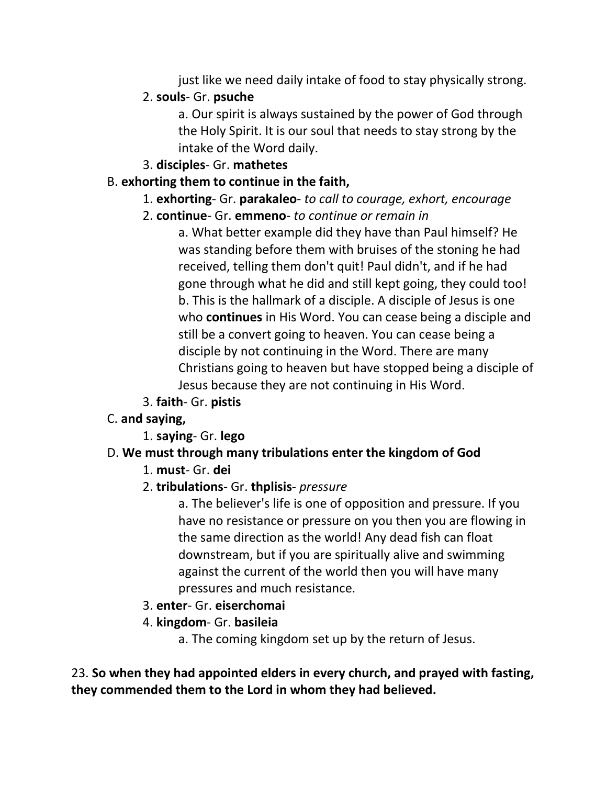just like we need daily intake of food to stay physically strong.

#### 2. **souls**- Gr. **psuche**

a. Our spirit is always sustained by the power of God through the Holy Spirit. It is our soul that needs to stay strong by the intake of the Word daily.

#### 3. **disciples**- Gr. **mathetes**

#### B. **exhorting them to continue in the faith,**

- 1. **exhorting** Gr. **parakaleo** *to call to courage, exhort, encourage*
- 2. **continue** Gr. **emmeno** *to continue or remain in*

a. What better example did they have than Paul himself? He was standing before them with bruises of the stoning he had received, telling them don't quit! Paul didn't, and if he had gone through what he did and still kept going, they could too! b. This is the hallmark of a disciple. A disciple of Jesus is one who **continues** in His Word. You can cease being a disciple and still be a convert going to heaven. You can cease being a disciple by not continuing in the Word. There are many Christians going to heaven but have stopped being a disciple of Jesus because they are not continuing in His Word.

- 3. **faith** Gr. **pistis**
- C. **and saying,**
	- 1. **saying** Gr. **lego**

## D. **We must through many tribulations enter the kingdom of God**

- 1. **must** Gr. **dei**
- 2. **tribulations** Gr. **thplisis** *pressure*

a. The believer's life is one of opposition and pressure. If you have no resistance or pressure on you then you are flowing in the same direction as the world! Any dead fish can float downstream, but if you are spiritually alive and swimming against the current of the world then you will have many pressures and much resistance.

- 3. **enter** Gr. **eiserchomai**
- 4. **kingdom** Gr. **basileia**
	- a. The coming kingdom set up by the return of Jesus.

23. **So when they had appointed elders in every church, and prayed with fasting, they commended them to the Lord in whom they had believed.**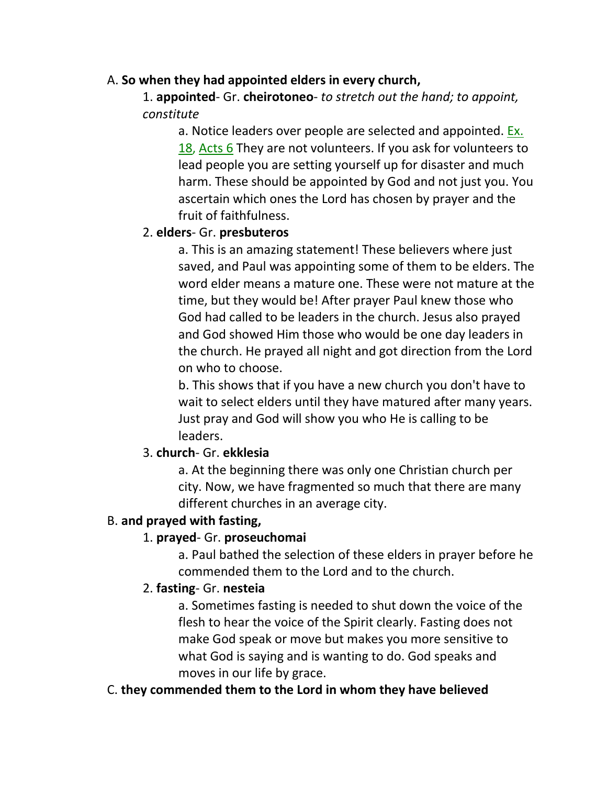#### A. **So when they had appointed elders in every church,**

1. **appointed**- Gr. **cheirotoneo**- *to stretch out the hand; to appoint, constitute*

a. Notice leaders over people are selected and appointed. Ex. 18, Acts 6 They are not volunteers. If you ask for volunteers to lead people you are setting yourself up for disaster and much harm. These should be appointed by God and not just you. You ascertain which ones the Lord has chosen by prayer and the fruit of faithfulness.

## 2. **elders**- Gr. **presbuteros**

a. This is an amazing statement! These believers where just saved, and Paul was appointing some of them to be elders. The word elder means a mature one. These were not mature at the time, but they would be! After prayer Paul knew those who God had called to be leaders in the church. Jesus also prayed and God showed Him those who would be one day leaders in the church. He prayed all night and got direction from the Lord on who to choose.

b. This shows that if you have a new church you don't have to wait to select elders until they have matured after many years. Just pray and God will show you who He is calling to be leaders.

## 3. **church**- Gr. **ekklesia**

a. At the beginning there was only one Christian church per city. Now, we have fragmented so much that there are many different churches in an average city.

#### B. **and prayed with fasting,**

## 1. **prayed**- Gr. **proseuchomai**

a. Paul bathed the selection of these elders in prayer before he commended them to the Lord and to the church.

## 2. **fasting**- Gr. **nesteia**

a. Sometimes fasting is needed to shut down the voice of the flesh to hear the voice of the Spirit clearly. Fasting does not make God speak or move but makes you more sensitive to what God is saying and is wanting to do. God speaks and moves in our life by grace.

#### C. **they commended them to the Lord in whom they have believed**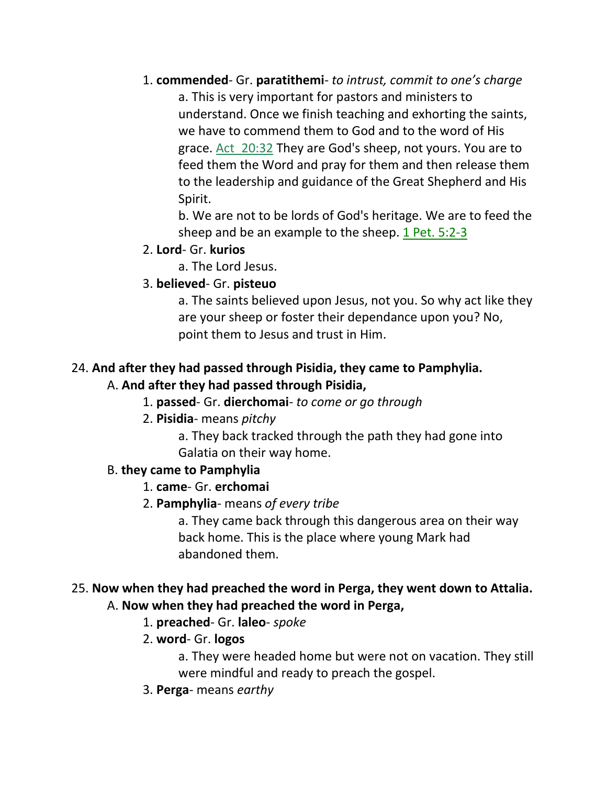1. **commended**- Gr. **paratithemi**- *to intrust, commit to one's charge*

a. This is very important for pastors and ministers to understand. Once we finish teaching and exhorting the saints, we have to commend them to God and to the word of His grace. Act\_20:32 They are God's sheep, not yours. You are to feed them the Word and pray for them and then release them to the leadership and guidance of the Great Shepherd and His Spirit.

b. We are not to be lords of God's heritage. We are to feed the sheep and be an example to the sheep. 1 Pet. 5:2-3

## 2. **Lord**- Gr. **kurios**

a. The Lord Jesus.

# 3. **believed**- Gr. **pisteuo**

a. The saints believed upon Jesus, not you. So why act like they are your sheep or foster their dependance upon you? No, point them to Jesus and trust in Him.

# 24. **And after they had passed through Pisidia, they came to Pamphylia.**

## A. **And after they had passed through Pisidia,**

## 1. **passed**- Gr. **dierchomai**- *to come or go through*

- 2. **Pisidia** means *pitchy*
	- a. They back tracked through the path they had gone into Galatia on their way home.

## B. **they came to Pamphylia**

# 1. **came**- Gr. **erchomai**

2. **Pamphylia**- means *of every tribe*

a. They came back through this dangerous area on their way back home. This is the place where young Mark had abandoned them.

# 25. **Now when they had preached the word in Perga, they went down to Attalia.**

# A. **Now when they had preached the word in Perga,**

## 1. **preached**- Gr. **laleo**- *spoke*

2. **word**- Gr. **logos**

a. They were headed home but were not on vacation. They still were mindful and ready to preach the gospel.

3. **Perga**- means *earthy*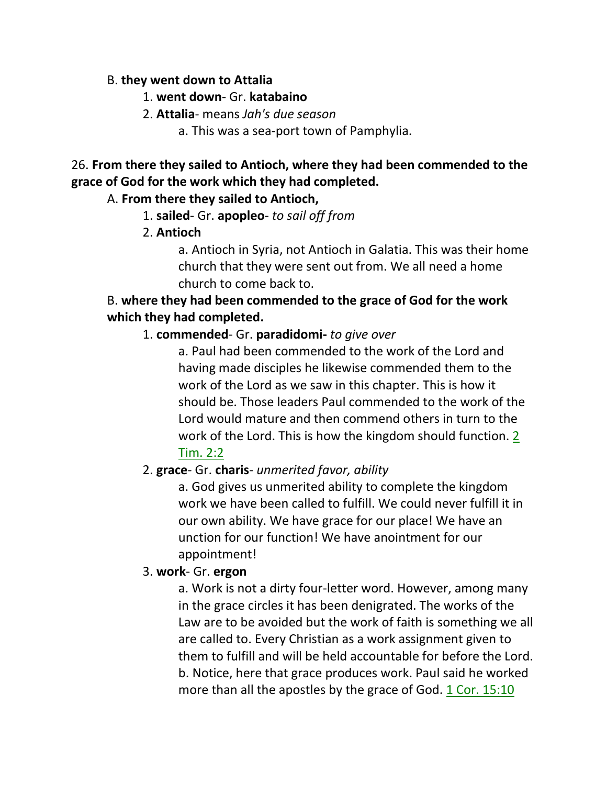#### B. **they went down to Attalia**

#### 1. **went down**- Gr. **katabaino**

#### 2. **Attalia**- means *Jah's due season*

a. This was a sea-port town of Pamphylia.

26. **From there they sailed to Antioch, where they had been commended to the grace of God for the work which they had completed.** 

#### A. **From there they sailed to Antioch,**

- 1. **sailed** Gr. **apopleo** *to sail off from*
- 2. **Antioch**

a. Antioch in Syria, not Antioch in Galatia. This was their home church that they were sent out from. We all need a home church to come back to.

## B. **where they had been commended to the grace of God for the work which they had completed.**

## 1. **commended**- Gr. **paradidomi-** *to give over*

a. Paul had been commended to the work of the Lord and having made disciples he likewise commended them to the work of the Lord as we saw in this chapter. This is how it should be. Those leaders Paul commended to the work of the Lord would mature and then commend others in turn to the work of the Lord. This is how the kingdom should function. 2 Tim. 2:2

## 2. **grace**- Gr. **charis**- *unmerited favor, ability*

a. God gives us unmerited ability to complete the kingdom work we have been called to fulfill. We could never fulfill it in our own ability. We have grace for our place! We have an unction for our function! We have anointment for our appointment!

#### 3. **work**- Gr. **ergon**

a. Work is not a dirty four-letter word. However, among many in the grace circles it has been denigrated. The works of the Law are to be avoided but the work of faith is something we all are called to. Every Christian as a work assignment given to them to fulfill and will be held accountable for before the Lord. b. Notice, here that grace produces work. Paul said he worked more than all the apostles by the grace of God. 1 Cor. 15:10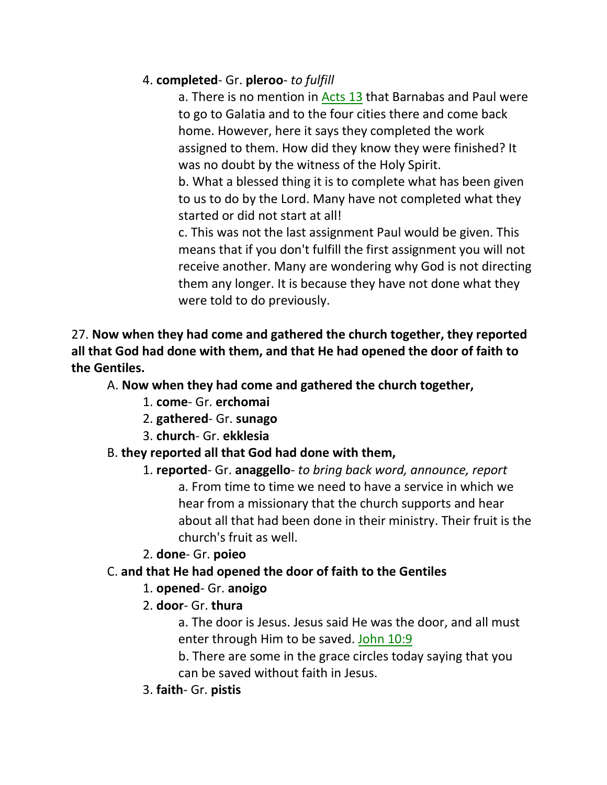# 4. **completed**- Gr. **pleroo**- *to fulfill*

a. There is no mention in Acts 13 that Barnabas and Paul were to go to Galatia and to the four cities there and come back home. However, here it says they completed the work assigned to them. How did they know they were finished? It was no doubt by the witness of the Holy Spirit.

b. What a blessed thing it is to complete what has been given to us to do by the Lord. Many have not completed what they started or did not start at all!

c. This was not the last assignment Paul would be given. This means that if you don't fulfill the first assignment you will not receive another. Many are wondering why God is not directing them any longer. It is because they have not done what they were told to do previously.

## 27. **Now when they had come and gathered the church together, they reported all that God had done with them, and that He had opened the door of faith to the Gentiles.**

# A. **Now when they had come and gathered the church together,**

- 1. **come** Gr. **erchomai**
- 2. **gathered** Gr. **sunago**
- 3. **church** Gr. **ekklesia**

#### B. **they reported all that God had done with them,**

# 1. **reported**- Gr. **anaggello**- *to bring back word, announce, report* a. From time to time we need to have a service in which we hear from a missionary that the church supports and hear about all that had been done in their ministry. Their fruit is the church's fruit as well.

#### 2. **done**- Gr. **poieo**

## C. **and that He had opened the door of faith to the Gentiles**

## 1. **opened**- Gr. **anoigo**

## 2. **door**- Gr. **thura**

a. The door is Jesus. Jesus said He was the door, and all must enter through Him to be saved. John 10:9

- b. There are some in the grace circles today saying that you can be saved without faith in Jesus.
- 3. **faith** Gr. **pistis**